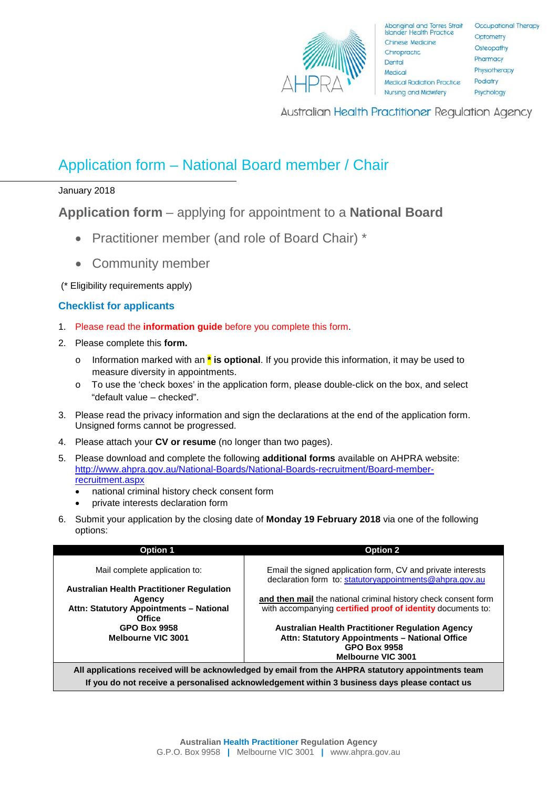

Australian Health Practitioner Regulation Agency

## Application form – National Board member / Chair

January 2018

**Application form** – applying for appointment to a **National Board**

- Practitioner member (and role of Board Chair) \*
- Community member

(\* Eligibility requirements apply)

## **Checklist for applicants**

- 1. Please read the **information guide** before you complete this form.
- 2. Please complete this **form.**
	- o Information marked with an **\* is optional**. If you provide this information, it may be used to measure diversity in appointments.
	- o To use the 'check boxes' in the application form, please double-click on the box, and select "default value – checked".
- 3. Please read the privacy information and sign the declarations at the end of the application form. Unsigned forms cannot be progressed.
- 4. Please attach your **CV or resume** (no longer than two pages).
- 5. Please download and complete the following **additional forms** available on AHPRA website: [http://www.ahpra.gov.au/National-Boards/National-Boards-recruitment/Board-member](http://www.ahpra.gov.au/National-Boards/National-Boards-recruitment/Board-member-recruitment.aspx)[recruitment.aspx](http://www.ahpra.gov.au/National-Boards/National-Boards-recruitment/Board-member-recruitment.aspx)
	- national criminal history check consent form
	- private interests declaration form
- 6. Submit your application by the closing date of **Monday 19 February 2018** via one of the following options:

| Email the signed application form, CV and private interests                                                                                            |
|--------------------------------------------------------------------------------------------------------------------------------------------------------|
| declaration form to: statutoryappointments@ahpra.gov.au                                                                                                |
| and then mail the national criminal history check consent form<br>with accompanying certified proof of identity documents to:                          |
| <b>Australian Health Practitioner Regulation Agency</b><br>Attn: Statutory Appointments - National Office                                              |
| <b>GPO Box 9958</b><br><b>Melbourne VIC 3001</b><br>All applications received will be acknowledged by email from the AHPRA statutory appointments team |
|                                                                                                                                                        |

**If you do not receive a personalised acknowledgement within 3 business days please contact us**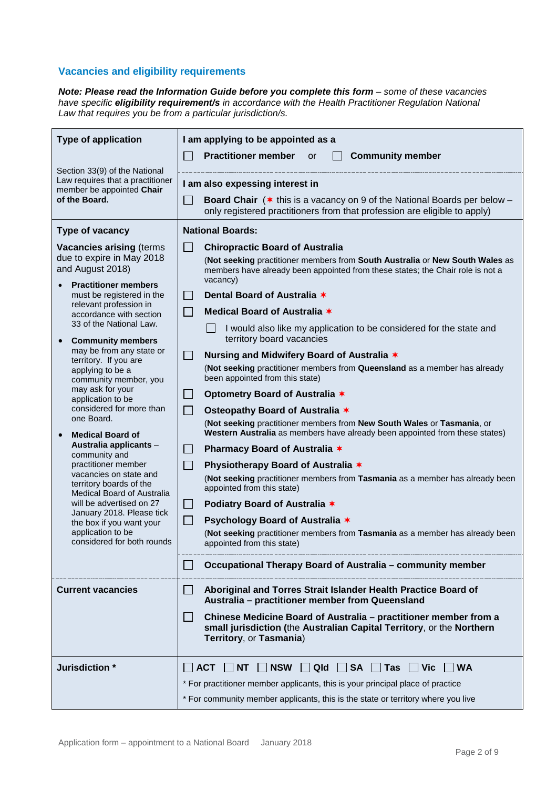## **Vacancies and eligibility requirements**

*Note: Please read the Information Guide before you complete this form – some of these vacancies have specific eligibility requirement/s in accordance with the Health Practitioner Regulation National Law that requires you be from a particular jurisdiction/s.*

| <b>Type of application</b>                                                             | I am applying to be appointed as a                                                                                                                                                     |  |  |
|----------------------------------------------------------------------------------------|----------------------------------------------------------------------------------------------------------------------------------------------------------------------------------------|--|--|
|                                                                                        | <b>Practitioner member</b><br><b>Community member</b><br><b>or</b>                                                                                                                     |  |  |
| Section 33(9) of the National<br>Law requires that a practitioner                      | I am also expessing interest in                                                                                                                                                        |  |  |
| member be appointed Chair<br>of the Board.                                             | $\blacksquare$<br><b>Board Chair</b> ( $*$ this is a vacancy on 9 of the National Boards per below –<br>only registered practitioners from that profession are eligible to apply)      |  |  |
| Type of vacancy                                                                        | <b>National Boards:</b>                                                                                                                                                                |  |  |
| <b>Vacancies arising (terms)</b>                                                       | $\Box$<br><b>Chiropractic Board of Australia</b>                                                                                                                                       |  |  |
| due to expire in May 2018<br>and August 2018)                                          | (Not seeking practitioner members from South Australia or New South Wales as<br>members have already been appointed from these states; the Chair role is not a<br>vacancy)             |  |  |
| <b>Practitioner members</b><br>must be registered in the                               | Dental Board of Australia *<br>$\blacksquare$                                                                                                                                          |  |  |
| relevant profession in<br>accordance with section                                      | Medical Board of Australia *                                                                                                                                                           |  |  |
| 33 of the National Law.<br><b>Community members</b><br>$\bullet$                       | $\Box$<br>I would also like my application to be considered for the state and<br>territory board vacancies                                                                             |  |  |
| may be from any state or<br>territory. If you are                                      | $\Box$<br>Nursing and Midwifery Board of Australia *                                                                                                                                   |  |  |
| applying to be a<br>community member, you                                              | (Not seeking practitioner members from Queensland as a member has already<br>been appointed from this state)                                                                           |  |  |
| may ask for your<br>application to be                                                  | $\mathcal{L}_{\mathcal{A}}$<br>Optometry Board of Australia *                                                                                                                          |  |  |
| considered for more than<br>one Board.                                                 | $\mathbb{R}^3$<br>Osteopathy Board of Australia *                                                                                                                                      |  |  |
| <b>Medical Board of</b>                                                                | (Not seeking practitioner members from New South Wales or Tasmania, or<br>Western Australia as members have already been appointed from these states)                                  |  |  |
| Australia applicants -<br>community and                                                | Pharmacy Board of Australia *<br>$\mathbb{R}^n$                                                                                                                                        |  |  |
| practitioner member                                                                    | $\mathcal{L}_{\mathcal{A}}$<br>Physiotherapy Board of Australia *                                                                                                                      |  |  |
| vacancies on state and<br>territory boards of the<br><b>Medical Board of Australia</b> | (Not seeking practitioner members from Tasmania as a member has already been<br>appointed from this state)                                                                             |  |  |
| will be advertised on 27                                                               | Podiatry Board of Australia *<br>$\Box$                                                                                                                                                |  |  |
| January 2018. Please tick<br>the box if you want your                                  | $\Box$<br>Psychology Board of Australia *                                                                                                                                              |  |  |
| application to be<br>considered for both rounds                                        | (Not seeking practitioner members from Tasmania as a member has already been<br>appointed from this state)                                                                             |  |  |
|                                                                                        | Occupational Therapy Board of Australia - community member                                                                                                                             |  |  |
| <b>Current vacancies</b>                                                               | Aboriginal and Torres Strait Islander Health Practice Board of<br>$\blacksquare$<br>Australia - practitioner member from Queensland                                                    |  |  |
|                                                                                        | Chinese Medicine Board of Australia - practitioner member from a<br>$\blacksquare$<br>small jurisdiction (the Australian Capital Territory, or the Northern<br>Territory, or Tasmania) |  |  |
| Jurisdiction *                                                                         | $\Box$ NSW<br>    QId     SA<br>∣ ∣ Vic<br><b>WA</b><br><b>ACT</b><br>IINT.<br>∣ Tas                                                                                                   |  |  |
|                                                                                        | * For practitioner member applicants, this is your principal place of practice                                                                                                         |  |  |
|                                                                                        | * For community member applicants, this is the state or territory where you live                                                                                                       |  |  |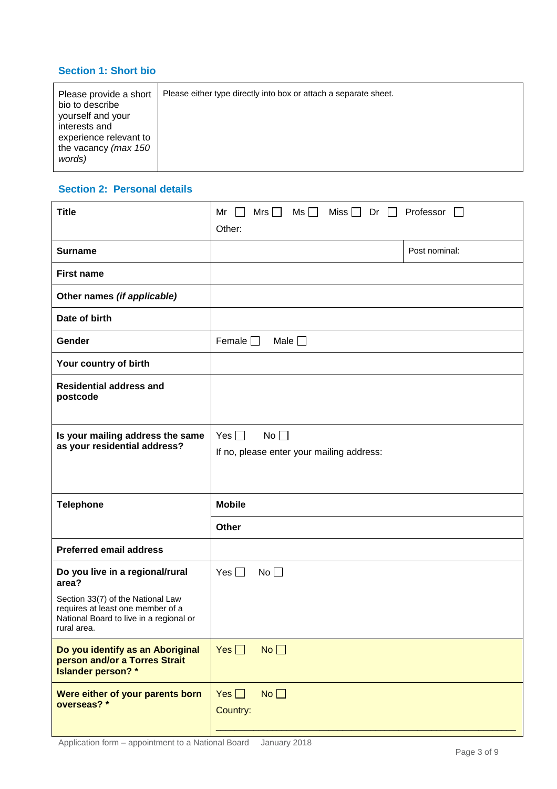## **Section 1: Short bio**

| Please provide a short<br>bio to describe<br>yourself and your<br>interests and<br>experience relevant to<br>the vacancy (max 150<br>words) | Please either type directly into box or attach a separate sheet. |
|---------------------------------------------------------------------------------------------------------------------------------------------|------------------------------------------------------------------|
|                                                                                                                                             |                                                                  |

#### **Section 2: Personal details**

| <b>Title</b>                                                                                                                     | Mrs $\Box$<br>$\mathsf{Ms} \ \Box$<br>Miss $\Box$ Dr $\Box$ Professor $\Box$<br>Mr<br>Other: |  |  |
|----------------------------------------------------------------------------------------------------------------------------------|----------------------------------------------------------------------------------------------|--|--|
| <b>Surname</b>                                                                                                                   | Post nominal:                                                                                |  |  |
| <b>First name</b>                                                                                                                |                                                                                              |  |  |
| Other names (if applicable)                                                                                                      |                                                                                              |  |  |
| Date of birth                                                                                                                    |                                                                                              |  |  |
| Gender                                                                                                                           | Female $\Box$<br>Male $\square$                                                              |  |  |
| Your country of birth                                                                                                            |                                                                                              |  |  |
| <b>Residential address and</b><br>postcode                                                                                       |                                                                                              |  |  |
| Is your mailing address the same<br>as your residential address?                                                                 | Yes $\Box$<br>No<br>If no, please enter your mailing address:                                |  |  |
| <b>Telephone</b>                                                                                                                 | <b>Mobile</b>                                                                                |  |  |
|                                                                                                                                  | Other                                                                                        |  |  |
| <b>Preferred email address</b>                                                                                                   |                                                                                              |  |  |
| Do you live in a regional/rural<br>area?                                                                                         | Yes $\Box$<br>No                                                                             |  |  |
| Section 33(7) of the National Law<br>requires at least one member of a<br>National Board to live in a regional or<br>rural area. |                                                                                              |  |  |
| Do you identify as an Aboriginal<br>person and/or a Torres Strait<br><b>Islander person?</b> *                                   | No <sub>1</sub><br>$Yes$ $\Box$                                                              |  |  |
| Were either of your parents born<br>overseas? *                                                                                  | No<br>Yes $\Box$<br>Country:                                                                 |  |  |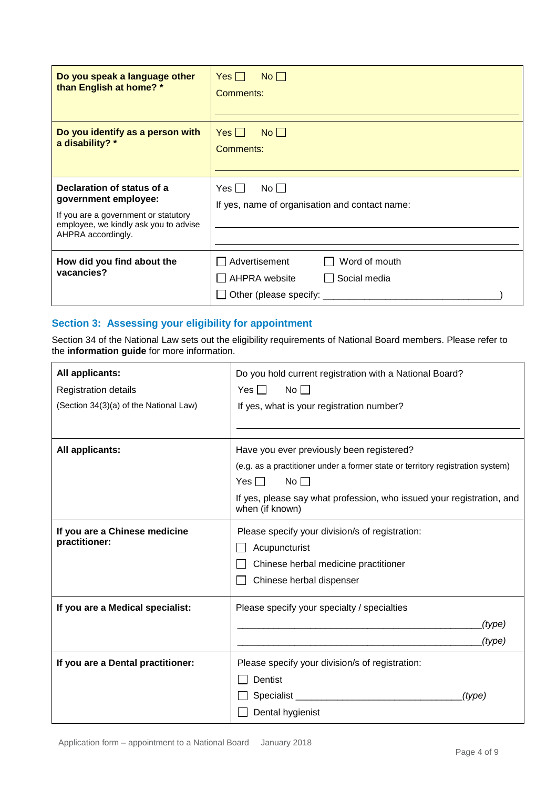| Do you speak a language other<br>than English at home? *                                                                                                  | No<br>$Yes$    <br>Comments:                                                |
|-----------------------------------------------------------------------------------------------------------------------------------------------------------|-----------------------------------------------------------------------------|
| Do you identify as a person with<br>a disability? *                                                                                                       | $Yes \Box$<br>No<br>Comments:                                               |
| Declaration of status of a<br>government employee:<br>If you are a government or statutory<br>employee, we kindly ask you to advise<br>AHPRA accordingly. | $No$ $\Box$<br>Yes $\Box$<br>If yes, name of organisation and contact name: |
| How did you find about the<br>vacancies?                                                                                                                  | Word of mouth<br>Advertisement<br>AHPRA website<br>Social media             |

### **Section 3: Assessing your eligibility for appointment**

Section 34 of the National Law sets out the eligibility requirements of National Board members. Please refer to the **information guide** for more information.

| All applicants:                        | Do you hold current registration with a National Board?                                  |        |  |
|----------------------------------------|------------------------------------------------------------------------------------------|--------|--|
| Registration details                   | No<br>Yes                                                                                |        |  |
| (Section 34(3)(a) of the National Law) | If yes, what is your registration number?                                                |        |  |
|                                        |                                                                                          |        |  |
|                                        |                                                                                          |        |  |
| All applicants:                        | Have you ever previously been registered?                                                |        |  |
|                                        | (e.g. as a practitioner under a former state or territory registration system)           |        |  |
|                                        | $No \BoxYes \Box$                                                                        |        |  |
|                                        | If yes, please say what profession, who issued your registration, and<br>when (if known) |        |  |
| If you are a Chinese medicine          | Please specify your division/s of registration:                                          |        |  |
| practitioner:                          | Acupuncturist                                                                            |        |  |
|                                        | Chinese herbal medicine practitioner                                                     |        |  |
|                                        | Chinese herbal dispenser                                                                 |        |  |
| If you are a Medical specialist:       | Please specify your specialty / specialties                                              |        |  |
|                                        |                                                                                          | (type) |  |
|                                        |                                                                                          | (type) |  |
| If you are a Dental practitioner:      | Please specify your division/s of registration:                                          |        |  |
|                                        | Dentist                                                                                  |        |  |
|                                        |                                                                                          | (type) |  |
|                                        | Dental hygienist                                                                         |        |  |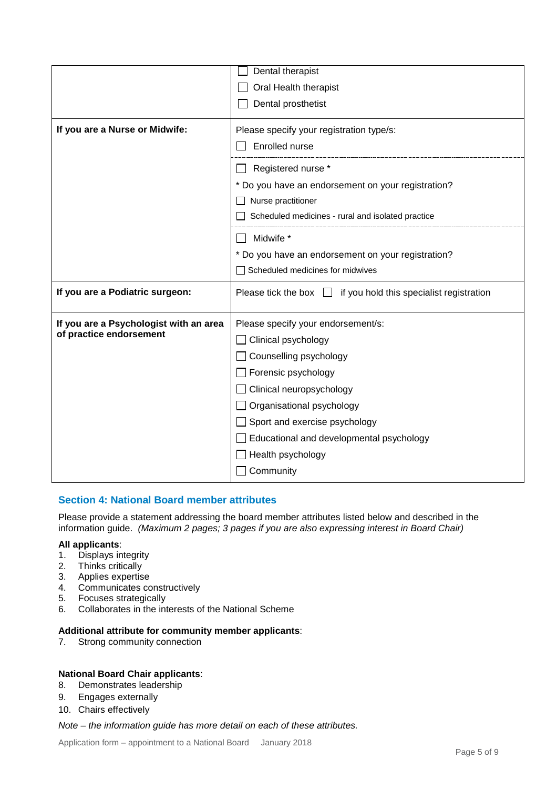|                                        | Dental therapist                                                       |
|----------------------------------------|------------------------------------------------------------------------|
|                                        | Oral Health therapist                                                  |
|                                        | Dental prosthetist                                                     |
| If you are a Nurse or Midwife:         | Please specify your registration type/s:                               |
|                                        | Enrolled nurse                                                         |
|                                        |                                                                        |
|                                        | Registered nurse *                                                     |
|                                        | * Do you have an endorsement on your registration?                     |
|                                        | Nurse practitioner                                                     |
|                                        | Scheduled medicines - rural and isolated practice                      |
|                                        | Midwife *                                                              |
|                                        | * Do you have an endorsement on your registration?                     |
|                                        | Scheduled medicines for midwives                                       |
| If you are a Podiatric surgeon:        | if you hold this specialist registration<br>Please tick the box $\Box$ |
| If you are a Psychologist with an area | Please specify your endorsement/s:                                     |
| of practice endorsement                | $\Box$ Clinical psychology                                             |
|                                        | Counselling psychology                                                 |
|                                        | Forensic psychology                                                    |
|                                        | $\Box$ Clinical neuropsychology                                        |
|                                        | Crganisational psychology                                              |
|                                        | $\Box$ Sport and exercise psychology                                   |
|                                        | Educational and developmental psychology                               |
|                                        |                                                                        |
|                                        | Health psychology                                                      |
|                                        | Community                                                              |

#### **Section 4: National Board member attributes**

Please provide a statement addressing the board member attributes listed below and described in the information guide. *(Maximum 2 pages; 3 pages if you are also expressing interest in Board Chair)*

#### **All applicants**:

- 1. Displays integrity
- 2. Thinks critically
- 3. Applies expertise
- 4. Communicates constructively
- 5. Focuses strategically
- 6. Collaborates in the interests of the National Scheme

#### **Additional attribute for community member applicants**:

7. Strong community connection

# **National Board Chair applicants**:

- Demonstrates leadership
- 9. Engages externally
- 10. Chairs effectively

#### *Note – the information guide has more detail on each of these attributes.*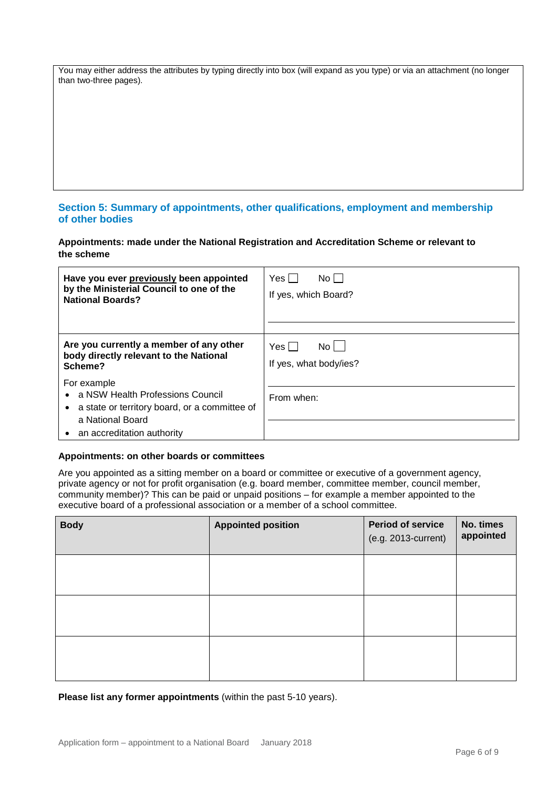You may either address the attributes by typing directly into box (will expand as you type) or via an attachment (no longer than two-three pages).

#### **Section 5: Summary of appointments, other qualifications, employment and membership of other bodies**

**Appointments: made under the National Registration and Accreditation Scheme or relevant to the scheme**

| Have you ever previously been appointed                                                                                                                | Yes I                  |
|--------------------------------------------------------------------------------------------------------------------------------------------------------|------------------------|
| by the Ministerial Council to one of the                                                                                                               | No II                  |
| <b>National Boards?</b>                                                                                                                                | If yes, which Board?   |
| Are you currently a member of any other                                                                                                                | Yesl                   |
| body directly relevant to the National                                                                                                                 | No l                   |
| Scheme?                                                                                                                                                | If yes, what body/ies? |
| For example<br>a NSW Health Professions Council<br>• a state or territory board, or a committee of<br>a National Board<br>• an accreditation authority | From when:             |

#### **Appointments: on other boards or committees**

Are you appointed as a sitting member on a board or committee or executive of a government agency, private agency or not for profit organisation (e.g. board member, committee member, council member, community member)? This can be paid or unpaid positions – for example a member appointed to the executive board of a professional association or a member of a school committee.

| <b>Body</b> | <b>Appointed position</b> | <b>Period of service</b><br>(e.g. 2013-current) | No. times<br>appointed |
|-------------|---------------------------|-------------------------------------------------|------------------------|
|             |                           |                                                 |                        |
|             |                           |                                                 |                        |
|             |                           |                                                 |                        |

**Please list any former appointments** (within the past 5-10 years).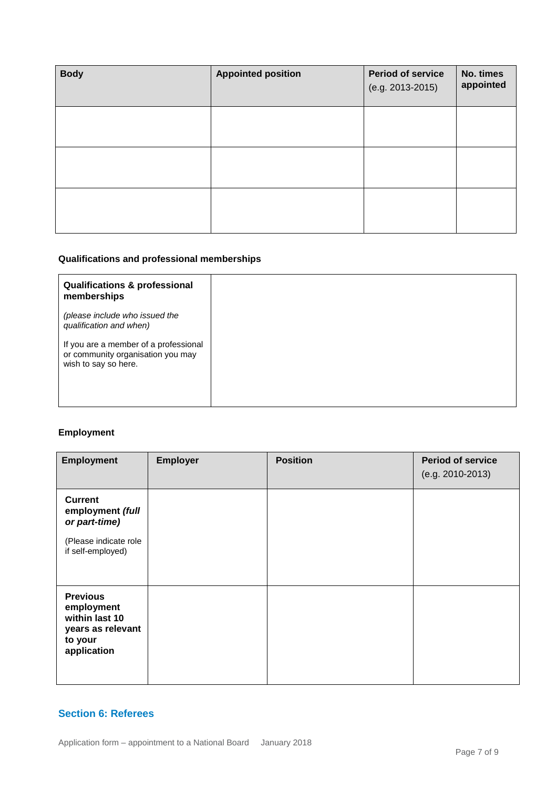| <b>Body</b> | <b>Appointed position</b> | <b>Period of service</b><br>(e.g. 2013-2015) | No. times<br>appointed |
|-------------|---------------------------|----------------------------------------------|------------------------|
|             |                           |                                              |                        |
|             |                           |                                              |                        |
|             |                           |                                              |                        |

## **Qualifications and professional memberships**

| <b>Qualifications &amp; professional</b><br>memberships                                            |
|----------------------------------------------------------------------------------------------------|
| (please include who issued the<br>qualification and when)                                          |
| If you are a member of a professional<br>or community organisation you may<br>wish to say so here. |

## **Employment**

| <b>Employment</b>                                                                                 | <b>Employer</b> | <b>Position</b> | <b>Period of service</b><br>(e.g. 2010-2013) |
|---------------------------------------------------------------------------------------------------|-----------------|-----------------|----------------------------------------------|
| <b>Current</b><br>employment (full<br>or part-time)<br>(Please indicate role<br>if self-employed) |                 |                 |                                              |
| <b>Previous</b><br>employment<br>within last 10<br>years as relevant<br>to your<br>application    |                 |                 |                                              |

## **Section 6: Referees**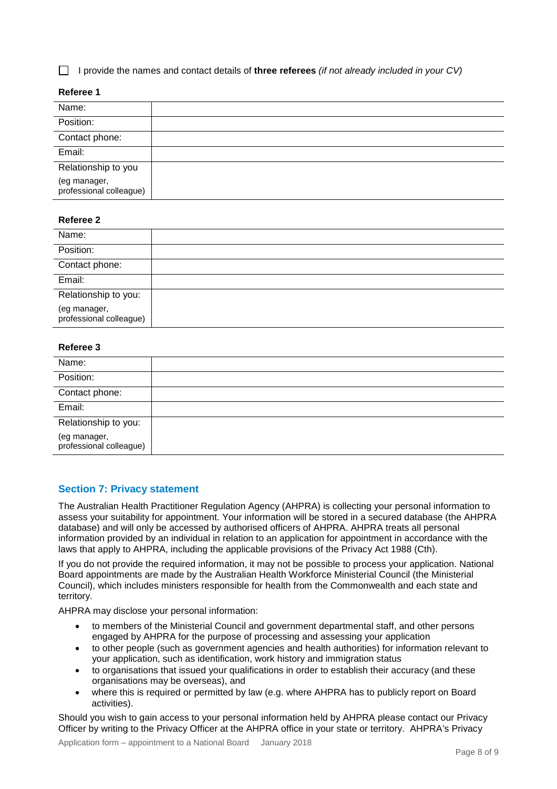I provide the names and contact details of **three referees** *(if not already included in your CV)*

#### **Referee 1**

| Name:                                   |  |
|-----------------------------------------|--|
| Position:                               |  |
| Contact phone:                          |  |
| Email:                                  |  |
| Relationship to you                     |  |
| (eg manager,<br>professional colleague) |  |

#### **Referee 2**

| Name:                                   |  |
|-----------------------------------------|--|
| Position:                               |  |
| Contact phone:                          |  |
| Email:                                  |  |
| Relationship to you:                    |  |
| (eg manager,<br>professional colleague) |  |

#### **Referee 3**

| Name:                                   |  |  |
|-----------------------------------------|--|--|
| Position:                               |  |  |
| Contact phone:                          |  |  |
| Email:                                  |  |  |
| Relationship to you:                    |  |  |
| (eg manager,<br>professional colleague) |  |  |

#### **Section 7: Privacy statement**

The Australian Health Practitioner Regulation Agency (AHPRA) is collecting your personal information to assess your suitability for appointment. Your information will be stored in a secured database (the AHPRA database) and will only be accessed by authorised officers of AHPRA. AHPRA treats all personal information provided by an individual in relation to an application for appointment in accordance with the laws that apply to AHPRA, including the applicable provisions of the Privacy Act 1988 (Cth).

If you do not provide the required information, it may not be possible to process your application. National Board appointments are made by the Australian Health Workforce Ministerial Council (the Ministerial Council), which includes ministers responsible for health from the Commonwealth and each state and territory.

AHPRA may disclose your personal information:

- to members of the Ministerial Council and government departmental staff, and other persons engaged by AHPRA for the purpose of processing and assessing your application
- to other people (such as government agencies and health authorities) for information relevant to your application, such as identification, work history and immigration status
- to organisations that issued your qualifications in order to establish their accuracy (and these organisations may be overseas), and
- where this is required or permitted by law (e.g. where AHPRA has to publicly report on Board activities).

Should you wish to gain access to your personal information held by AHPRA please contact our Privacy Officer by writing to the Privacy Officer at the AHPRA office in your state or territory. AHPRA's Privacy